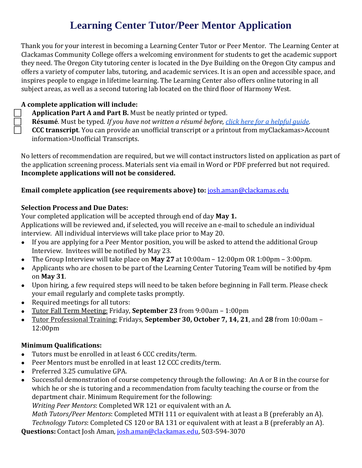# **Learning Center Tutor/Peer Mentor Application**

Thank you for your interest in becoming a Learning Center Tutor or Peer Mentor. The Learning Center at Clackamas Community College offers a welcoming environment for students to get the academic support they need. The Oregon City tutoring center is located in the Dye Building on the Oregon City campus and offers a variety of computer labs, tutoring, and academic services. It is an open and accessible space, and inspires people to engage in lifetime learning. The Learning Center also offers online tutoring in all subject areas, as well as a second tutoring lab located on the third floor of Harmony West.

#### **A complete application will include:**

**Application Part A and Part B.** Must be neatly printed or typed.

**Résumé**. Must be typed. *If you have not written a résumé before[, click here for a helpful guide.](https://www.algonquincollege.com/employment/files/2019/07/Resume-Template.pdf?file=2019/07/Resume-Template.pdf)*

**CCC transcript**. You can provide an unofficial transcript or a printout from myClackamas>Account information>Unofficial Transcripts.

No letters of recommendation are required, but we will contact instructors listed on application as part of the application screening process. Materials sent via email in Word or PDF preferred but not required. **Incomplete applications will not be considered.**

**Email complete application (see requirements above) to:** [josh.aman@clackamas.edu](mailto:josh.aman@clackamas.edu) 

### **Selection Process and Due Dates:**

Your completed application will be accepted through end of day **May 1.** Applications will be reviewed and, if selected, you will receive an e-mail to schedule an individual interview. All individual interviews will take place prior to May 20.

- If you are applying for a Peer Mentor position, you will be asked to attend the additional Group Interview. Invitees will be notified by May 23.
- The Group Interview will take place on **May 27** at 10:00am 12:00pm OR 1:00pm 3:00pm.
- Applicants who are chosen to be part of the Learning Center Tutoring Team will be notified by 4pm on **May 31**.
- Upon hiring, a few required steps will need to be taken before beginning in Fall term. Please check your email regularly and complete tasks promptly.
- Required meetings for all tutors:
- Tutor Fall Term Meeting: Friday, **September 23** from 9:00am 1:00pm
- Tutor Professional Training: Fridays, **September 30, October 7, 14, 21**, and **28** from 10:00am 12:00pm

## **Minimum Qualifications:**

- Tutors must be enrolled in at least 6 CCC credits/term.
- Peer Mentors must be enrolled in at least 12 CCC credits/term.
- Preferred 3.25 cumulative GPA.
- Successful demonstration of course competency through the following: An A or B in the course for which he or she is tutoring and a recommendation from faculty teaching the course or from the department chair. Minimum Requirement for the following:

*Writing Peer Mentors*: Completed WR 121 or equivalent with an A.

*Math Tutors/Peer Mentors*: Completed MTH 111 or equivalent with at least a B (preferably an A). *Technology Tutors*: Completed CS 120 or BA 131 or equivalent with at least a B (preferably an A). **Questions:** Contact Josh Aman, [josh.aman@clackamas.edu,](mailto:josh.aman@clackamas.edu) 503-594-3070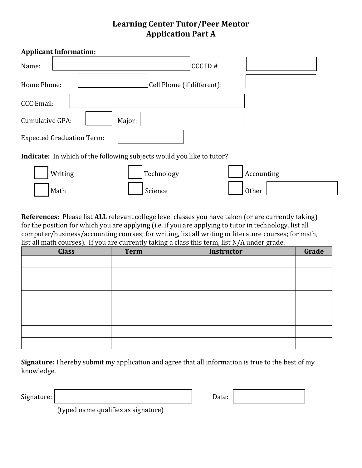# **Learning Center Tutor/Peer Mentor Application Part A**

| <b>Applicant Information:</b>                                                |
|------------------------------------------------------------------------------|
| CCCD#<br>Name:                                                               |
| Cell Phone (if different):<br>Home Phone:                                    |
| <b>CCC</b> Email:                                                            |
| Cumulative GPA:<br>Major:                                                    |
| <b>Expected Graduation Term:</b>                                             |
| <b>Indicate:</b> In which of the following subjects would you like to tutor? |
| Technology<br>Writing<br>Accounting                                          |
| Other<br>Science<br>Math                                                     |

**References:** Please list **ALL** relevant college level classes you have taken (or are currently taking) for the position for which you are applying (i.e. if you are applying to tutor in technology, list all computer/business/accounting courses; for writing, list all writing or literature courses; for math, list all math courses). If you are currently taking a class this term, list N/A under grade.

| <b>Class</b> | <b>Term</b> | <b>Instructor</b> | Grade |
|--------------|-------------|-------------------|-------|
|              |             |                   |       |
|              |             |                   |       |
|              |             |                   |       |
|              |             |                   |       |
|              |             |                   |       |
|              |             |                   |       |
|              |             |                   |       |
|              |             |                   |       |

**Signature:** I hereby submit my application and agree that all information is true to the best of my knowledge.

Signature:  $\begin{array}{ccc} \n\end{array}$ 

| Date: |  |  |
|-------|--|--|
|-------|--|--|

(typed name qualifies as signature)